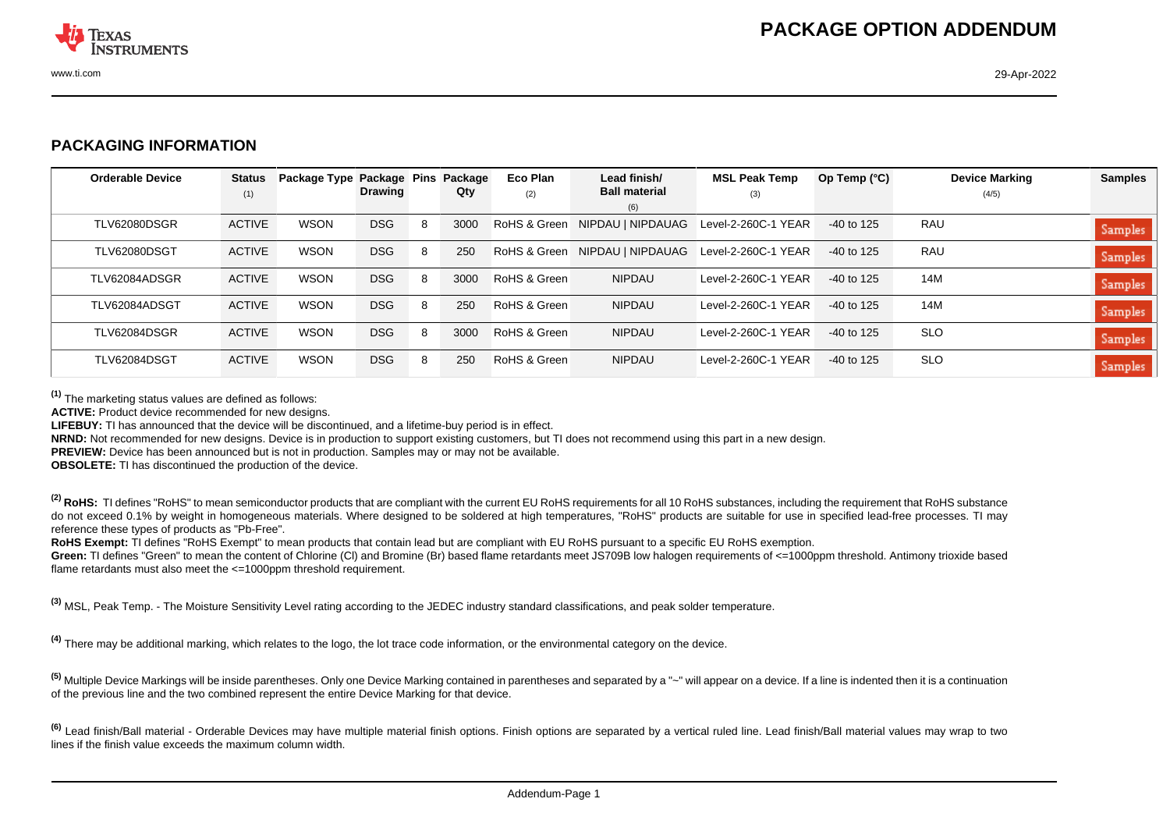

## **PACKAGING INFORMATION**

| <b>Orderable Device</b> | Status        | Package Type Package Pins Package | <b>Drawing</b> |   | Qty  | Eco Plan<br>(2) | Lead finish/<br><b>Ball material</b> | <b>MSL Peak Temp</b> | Op Temp $(^{\circ}C)$ | <b>Device Marking</b> | <b>Samples</b> |
|-------------------------|---------------|-----------------------------------|----------------|---|------|-----------------|--------------------------------------|----------------------|-----------------------|-----------------------|----------------|
|                         | (1)           |                                   |                |   |      |                 | (6)                                  | (3)                  |                       | (4/5)                 |                |
| TLV62080DSGR            | ACTIVE        | WSON                              | <b>DSG</b>     | 8 | 3000 | RoHS & Green    | NIPDAU   NIPDAUAG                    | Level-2-260C-1 YEAR  | -40 to 125            | <b>RAU</b>            | <b>Samples</b> |
| TLV62080DSGT            | <b>ACTIVE</b> | <b>WSON</b>                       | <b>DSG</b>     | 8 | 250  | RoHS & Green    | NIPDAU   NIPDAUAG                    | Level-2-260C-1 YEAR  | -40 to 125            | RAU                   | Samples        |
| TLV62084ADSGR           | <b>ACTIVE</b> | <b>WSON</b>                       | <b>DSG</b>     | 8 | 3000 | RoHS & Green    | <b>NIPDAU</b>                        | Level-2-260C-1 YEAR  | $-40$ to 125          | 14M                   | Samples        |
| TLV62084ADSGT           | <b>ACTIVE</b> | WSON                              | <b>DSG</b>     | 8 | 250  | RoHS & Green    | <b>NIPDAU</b>                        | Level-2-260C-1 YEAR  | -40 to 125            | 14M                   | Samples        |
| TLV62084DSGR            | <b>ACTIVE</b> | WSON                              | <b>DSG</b>     | 8 | 3000 | RoHS & Green    | <b>NIPDAU</b>                        | Level-2-260C-1 YEAR  | $-40$ to 125          | <b>SLO</b>            | Samples        |
| TLV62084DSGT            | ACTIVE        | WSON                              | <b>DSG</b>     | 8 | 250  | RoHS & Green    | <b>NIPDAU</b>                        | Level-2-260C-1 YEAR  | $-40$ to 125          | <b>SLO</b>            | Samples        |

**(1)** The marketing status values are defined as follows:

**ACTIVE:** Product device recommended for new designs.

**LIFEBUY:** TI has announced that the device will be discontinued, and a lifetime-buy period is in effect.

**NRND:** Not recommended for new designs. Device is in production to support existing customers, but TI does not recommend using this part in a new design.

**PREVIEW:** Device has been announced but is not in production. Samples may or may not be available.

**OBSOLETE:** TI has discontinued the production of the device.

<sup>(2)</sup> RoHS: TI defines "RoHS" to mean semiconductor products that are compliant with the current EU RoHS requirements for all 10 RoHS substances, including the requirement that RoHS substance do not exceed 0.1% by weight in homogeneous materials. Where designed to be soldered at high temperatures, "RoHS" products are suitable for use in specified lead-free processes. TI may reference these types of products as "Pb-Free".

RoHS Exempt: TI defines "RoHS Exempt" to mean products that contain lead but are compliant with EU RoHS pursuant to a specific EU RoHS exemption.

Green: TI defines "Green" to mean the content of Chlorine (CI) and Bromine (Br) based flame retardants meet JS709B low halogen requirements of <=1000ppm threshold. Antimony trioxide based flame retardants must also meet the <=1000ppm threshold requirement.

**(3)** MSL, Peak Temp. - The Moisture Sensitivity Level rating according to the JEDEC industry standard classifications, and peak solder temperature.

**(4)** There may be additional marking, which relates to the logo, the lot trace code information, or the environmental category on the device.

<sup>(5)</sup> Multiple Device Markings will be inside parentheses. Only one Device Marking contained in parentheses and separated by a "~" will appear on a device. If a line is indented then it is a continuation of the previous line and the two combined represent the entire Device Marking for that device.

<sup>(6)</sup> Lead finish/Ball material - Orderable Devices may have multiple material finish options. Finish options are separated by a vertical ruled line. Lead finish/Ball material values may wrap to two lines if the finish value exceeds the maximum column width.